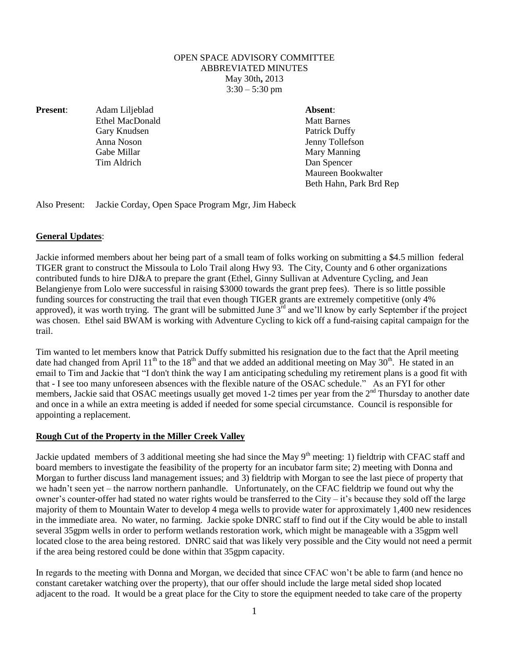## OPEN SPACE ADVISORY COMMITTEE ABBREVIATED MINUTES May 30th**,** 2013  $3:30 - 5:30$  pm

**Present**: Adam Liljeblad **Absent**:

Ethel MacDonald Matt Barnes Gary Knudsen Patrick Duffy Gabe Millar Mary Manning Tim Aldrich Dan Spencer

Anna Noson Jenny Tollefson Maureen Bookwalter Beth Hahn, Park Brd Rep

Also Present: Jackie Corday, Open Space Program Mgr, Jim Habeck

## **General Updates**:

Jackie informed members about her being part of a small team of folks working on submitting a \$4.5 million federal TIGER grant to construct the Missoula to Lolo Trail along Hwy 93. The City, County and 6 other organizations contributed funds to hire DJ&A to prepare the grant (Ethel, Ginny Sullivan at Adventure Cycling, and Jean Belangienye from Lolo were successful in raising \$3000 towards the grant prep fees). There is so little possible funding sources for constructing the trail that even though TIGER grants are extremely competitive (only 4% approved), it was worth trying. The grant will be submitted June  $3<sup>rd</sup>$  and we'll know by early September if the project was chosen. Ethel said BWAM is working with Adventure Cycling to kick off a fund-raising capital campaign for the trail.

Tim wanted to let members know that Patrick Duffy submitted his resignation due to the fact that the April meeting date had changed from April  $11<sup>th</sup>$  to the  $18<sup>th</sup>$  and that we added an additional meeting on May 30<sup>th</sup>. He stated in an email to Tim and Jackie that "I don't think the way I am anticipating scheduling my retirement plans is a good fit with that - I see too many unforeseen absences with the flexible nature of the OSAC schedule." As an FYI for other members, Jackie said that OSAC meetings usually get moved 1-2 times per year from the  $2<sup>nd</sup>$  Thursday to another date and once in a while an extra meeting is added if needed for some special circumstance. Council is responsible for appointing a replacement.

## **Rough Cut of the Property in the Miller Creek Valley**

Jackie updated members of 3 additional meeting she had since the May  $9<sup>th</sup>$  meeting: 1) fieldtrip with CFAC staff and board members to investigate the feasibility of the property for an incubator farm site; 2) meeting with Donna and Morgan to further discuss land management issues; and 3) fieldtrip with Morgan to see the last piece of property that we hadn't seen yet – the narrow northern panhandle. Unfortunately, on the CFAC fieldtrip we found out why the owner's counter-offer had stated no water rights would be transferred to the City – it's because they sold off the large majority of them to Mountain Water to develop 4 mega wells to provide water for approximately 1,400 new residences in the immediate area. No water, no farming. Jackie spoke DNRC staff to find out if the City would be able to install several 35gpm wells in order to perform wetlands restoration work, which might be manageable with a 35gpm well located close to the area being restored. DNRC said that was likely very possible and the City would not need a permit if the area being restored could be done within that 35gpm capacity.

In regards to the meeting with Donna and Morgan, we decided that since CFAC won't be able to farm (and hence no constant caretaker watching over the property), that our offer should include the large metal sided shop located adjacent to the road. It would be a great place for the City to store the equipment needed to take care of the property